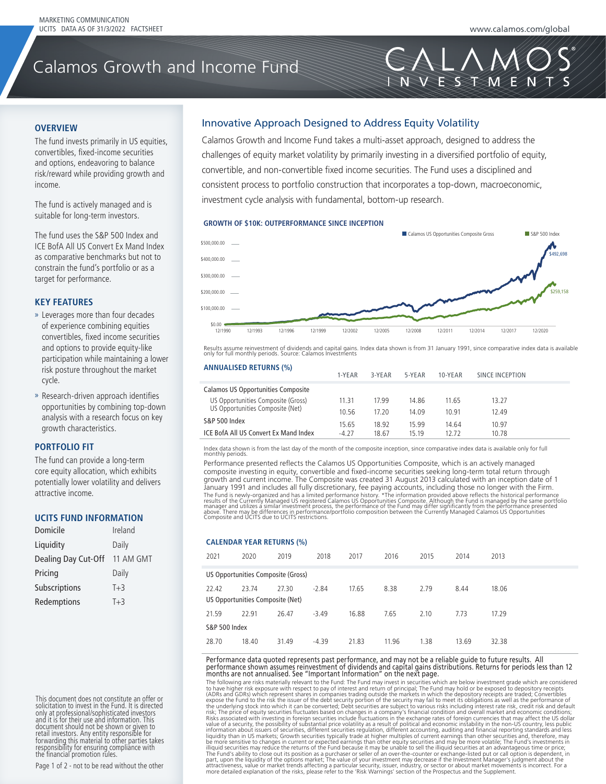VESTAVEN

# Calamos Growth and Income Fund

Calamos Growth and Income Fund

#### **OVERVIEW**

The fund invests primarily in US equities, convertibles, fixed-income securities and options, endeavoring to balance risk/reward while providing growth and income.

The fund is actively managed and is suitable for long-term investors.

The fund uses the S&P 500 Index and ICE BofA All US Convert Ex Mand Index **ACL BOIA AIT OS CONVETT EX MANG MUEX**<br>As comparative benchmarks but not to constrain the fund's portfolio or as a target for performance. The fund's risk-adjusted returns based on

## *KEY FEATURES*

- $\ast$  Leverages more than four decades of experience combining equities convertibles, fixed income securities and options to provide equity-like participation while maintaining a lower risk posture throughout the market cycle. The balance risk  $\mathcal{L}$
- » Research-driven approach identifies opportunities by combining top-down analysis with a research focus on key anarysis with a research rocas on key ower characteristics.

#### **PORTFOLIO FIT**

The fund can provide a long-term core equity allocation, which exhibits potentially lower volatility and delivers attractive income.

#### UCITS FUND INFORMATION

| Ireland                       |
|-------------------------------|
| Daily                         |
| Dealing Day Cut-Off 11 AM GMT |
| Daily                         |
| $T+3$                         |
| $T+3$                         |
|                               |

This document does not constitute an offer or<br>solicitation to invest in the Fund. It is directed<br>only at professional/sophisticated investors<br>and it is for their use and information. This<br>document should not be shown or gi A Shares C Shares I Shares his document does not constitute an<br>plicitation to invost in the Eund. It is R6 Shares riu il is il<br>Ocument There investors. Any entity responsible for<br>prwarding this material to other parties take<br>esponsibility for ensuring compliance with

Page 1 of 2 - not to be read without the other **GUARANTEE** <sup>1</sup><br>Not to be read without the ot

### Innovative Approach Designed to Address Equity Volatility

challenges of equity market volatility by primarily investing in a diversified portfolio of equity, consistent process to portfolio construction that incorporates a top-down, macroeconomic, investment cycle analysis with fundamental, bottom-up research. Calamos Growth and Income Fund takes a multi-asset approach, designed to address the convertible, and non-convertible fixed income securities. The Fund uses a disciplined and

#### **GROWTH OF \$10K: OUTPERFORMANCE SINCE INCEPTION**



Results assume reinvestment of unidents and capital gains. muex data shown is noni 51 January 1991, since comparative muex data is available.<br>only for full monthly periods. Source: Calamos Investments Results assume reinvestment of dividends and capital gains. Index data shown is from 31 January 1991, since comparative index data is available only for full monthly periods. Source: Calamos Investments

| <b>ANNUALISED RETURNS (%)</b>             | 1-YEAR  | 3-YEAR | 5-YEAR | 10-YEAR | SINCE INCEPTION |
|-------------------------------------------|---------|--------|--------|---------|-----------------|
| <b>Calamos US Opportunities Composite</b> |         |        |        |         |                 |
| US Opportunities Composite (Gross)        | 11.31   | 1799   | 14.86  | 11.65   | 13.27           |
| US Opportunities Composite (Net)          | 10.56   | 17 20  | 14.09  | 10 91   | 12.49           |
| S&P 500 Index                             | 15.65   | 18.92  | 15.99  | 14.64   | 10.97           |
| ICE BofA All US Convert Ex Mand Index     | $-4.27$ | 18.67  | 15.19  | 12.72   | 10.78           |
|                                           |         |        |        |         |                 |

Index data shown is from the last day of the month of the composite inception, since comparative index data is available only for full<br>monthly periods.

Performance presented reflects the Calamos US Opportunities Composite, which is an actively managed composite investing in equity, convertible and fixed-income securities seeking long-term total return through growth and current income. The Composite was created 31 August 2013 calculated with an inception date of 1 January 1991 and includes all fully discretionary, fee paying accounts, including those no longer with the Firm. The Fund is newly-organized and has a limited performance history. \*The information provided above reflects the historical performance<br>results of the Currently Managed US registered Calamos US Opportunities Composite. Alth Fine Fund is newly-organized and has a limited performance history. \*The information provided above reflects the historical performance<br>results of the Currently Managed US registered Calamos US Opportunities Composite. Al composite investing in equity, conve growth

#### **CALENDAR YEAR RETURNS (%) CALENDAR YEAR RETURNS (%)**

| 2021                                      | 2020  | 2019  | 2018    | 2017  | 2016  | 2015 | 2014  | 2013  |
|-------------------------------------------|-------|-------|---------|-------|-------|------|-------|-------|
| US Opportunities Composite (Gross)        |       |       |         |       |       |      |       |       |
| 22.42<br>US Opportunities Composite (Net) | 23.74 | 27.30 | $-2.84$ | 17.65 | 8.38  | 2.79 | 8.44  | 18.06 |
| 21.59                                     | 22.91 | 26.47 | $-3.49$ | 16.88 | 7.65  | 2.10 | 7.73  | 17.29 |
| <b>S&amp;P 500 Index</b>                  |       |       |         |       |       |      |       |       |
| 28.70                                     | 18.40 | 31.49 | $-4.39$ | 21.83 | 11.96 | 1.38 | 13.69 | 32.38 |

Performance data quoted represents past performance, and may not be a reliable guide to future results. All<br>performance shown assumes reinvestment of dividends and capital gains distributions. Returns for periods less tha -<br>Performance data quoted represents past performance, and may not be a reliable guide to future results. All<br>performance shown assumes reinvestment of dividends and capital gains distributions. Returns for periods less th

The following are risks materially relevant to the Fund: The Fund may invest in securities which are below investment grade which are considered to have higher risk exposure with respect to pay of interest and return of principal; The Fund may hold or be exposed to depository receipts are traded; Convertibles expose the Fund to the risk the issuer of the debt secur months are not annualised. See "Important Information" on the hext page.<br>The following are risks materially relevant to the Fund The Fund may invest in securities which are below investment grade which are considered<br>to ha the underlying stock into which it can be converted; Debt securities are subject to various risks including interest rate risk, credit risk and default<br>risk; The price of equity securities functuates based on changes in a illiquid securities may reduce the returns of the Fund because it may be unable to sell the illiquid securities at an advantageous time or price;<br>The Fund's ability to close out its position as a purchaser or seller of an party operations of the construction of the distribution of the construction of the product method in the product of the distribution of the distribution of the risks, plus of the risks, please refer to the 'Risk Warnings'